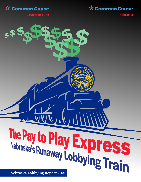



**Nebraska** 

**Education Fund** 

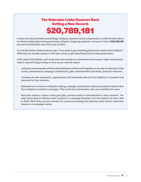# **The Nebraska Lobby Bounces Back Setting a New Record:**

**\$20,789,181**

In their recently submitted annual filings, lobbyists reported record compensation in 2021 for their labors to influence Nebraska's state government. Despite a lingering pandemic, last year's total of *\$20,789,181* was some \$2,000,000 more than that of 2020.

It is not idle chatter when someone says: "if you want to get something done at the capitol, hire a lobbyist." What they are actually saying is it will take money to get something done by state government.

In the report that follows, we'll break down the numbers to show how much money it takes and who provides it. Several things to keep in mind as you read the report:

- *Lobbyists* are the people and firms that attempt to influence the legislature on a day-to-day basis. Daily access, sweetened by campaign contributions, gifts, entertainment and meals, produces influence.
- *Principals* are the companies, organizations and individuals who hire the lobbyists to represent and advocate for their interests.
- Nebraska has no limits on lobbyists making campaign contributions. Many thousands of dollars flow from lobbyists to political campaigns. This is also true of principals, who can contribute far more.
- Note that *ordinary citizens* rarely give gifts, provide meals or entertainment to their senators. The only money they are likely to send a senator is a campaign donation of, in the majority of cases, \$20 to \$100. While they can ask a senator for a personal meeting, the only time most citizens meet their senator is at campaign events.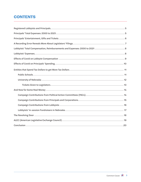## **CONTENTS**

| Lobbyists' Total Compensation, Reimbursements and Expenses: 2000 to 2021  8                                                                                                                                                                                                                                                                                                                                                                                                                                                                                     |
|-----------------------------------------------------------------------------------------------------------------------------------------------------------------------------------------------------------------------------------------------------------------------------------------------------------------------------------------------------------------------------------------------------------------------------------------------------------------------------------------------------------------------------------------------------------------|
|                                                                                                                                                                                                                                                                                                                                                                                                                                                                                                                                                                 |
|                                                                                                                                                                                                                                                                                                                                                                                                                                                                                                                                                                 |
|                                                                                                                                                                                                                                                                                                                                                                                                                                                                                                                                                                 |
|                                                                                                                                                                                                                                                                                                                                                                                                                                                                                                                                                                 |
|                                                                                                                                                                                                                                                                                                                                                                                                                                                                                                                                                                 |
|                                                                                                                                                                                                                                                                                                                                                                                                                                                                                                                                                                 |
|                                                                                                                                                                                                                                                                                                                                                                                                                                                                                                                                                                 |
|                                                                                                                                                                                                                                                                                                                                                                                                                                                                                                                                                                 |
|                                                                                                                                                                                                                                                                                                                                                                                                                                                                                                                                                                 |
|                                                                                                                                                                                                                                                                                                                                                                                                                                                                                                                                                                 |
|                                                                                                                                                                                                                                                                                                                                                                                                                                                                                                                                                                 |
|                                                                                                                                                                                                                                                                                                                                                                                                                                                                                                                                                                 |
|                                                                                                                                                                                                                                                                                                                                                                                                                                                                                                                                                                 |
|                                                                                                                                                                                                                                                                                                                                                                                                                                                                                                                                                                 |
| $\begin{minipage}{.4\linewidth} Conclusion \begin{minipage}{.4\linewidth} \label{fig:ex3} \end{minipage} \begin{minipage}{.4\linewidth} \textbf{Conclusion} \begin{minipage}{.4\linewidth} \end{minipage} \begin{minipage}{.4\linewidth} \end{minipage} \begin{minipage}{.4\linewidth} \end{minipage} \begin{minipage}{.4\linewidth} \end{minipage} \begin{minipage}{.4\linewidth} \end{minipage} \begin{minipage}{.4\linewidth} \end{minipage} \begin{minipage}{.4\linewidth} \end{minipage} \begin{minipage}{.4\linewidth} \end{minipage} \begin{minipage}{.$ |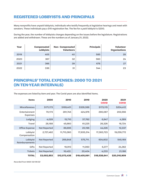## **REGISTERED LOBBYISTS AND PRINCIPALS**

Many nonprofits have *unpaid lobbyists*, individuals who testify frequently at legislative hearings and meet with senators. These individuals pay a \$15 registration fee. The fee for a *paid lobbyist* is \$200.

During the year, the number of lobbyists changes depending on the issues before the legislature. Registrations are added and withdrawn. These are the numbers as of January 21, 2022.

| Year | <b>Compensated</b><br>Lobbyists | <b>Non- Compensated</b><br><b>Volunteers</b> | <b>Principals</b> | <b>Volunteer</b><br><b>Organizations</b> |
|------|---------------------------------|----------------------------------------------|-------------------|------------------------------------------|
| 2019 | 405                             | 40                                           | 585               | 28                                       |
| 2020 | 367                             | 32                                           | 560               | 24                                       |
| 2021 | 366                             | 39                                           | 678               | 27                                       |
| 2022 | 336                             | 31                                           | 544               | 23                                       |

## **PRINCIPALS' TOTAL EXPENSES: 2000 TO 2021 (IN TEN-YEAR INTERVALS)**

The expenses are listed by item and year. The Covid years are also identified Items.

| <b>Items</b>                     | 2000         | 2010         | 2019         | 2020<br><b>COVID</b> | 2021<br><b>COVID</b> |
|----------------------------------|--------------|--------------|--------------|----------------------|----------------------|
| <b>Miscellaneous</b>             | \$171,173    | \$169,401    | \$328,388    | \$173,115            | \$204,412            |
| Entertainment<br><b>Expenses</b> | 70,173       | 281,745      | 424,976      | 290,087              | 202,556              |
| Lodging                          | 4,028        | 15,710       | 37,782       | 6,947                | 4,389                |
| Travel                           | 28,188       | 45,660       | 61,225       | 26,326               | 18,724               |
| <b>Office Expense</b>            | Not Reported | 89,695       | 20,196       | 44,226               | 12,337               |
| Lobbyist<br>Compensation         | 2,727,482    | 11,713,360   | 17,935,314   | 17,383,723           | 19,259,772           |
| Lobbyist<br>Reimbursements       | Not Reported | 269,848      | 575,711.     | 604,602              | 545,169              |
| Gifts                            | Not Reported | 19,913       | 11,060       | 6,377                | 24,362               |
| <b>Tickets</b>                   | Not Reported | 16,422.      | 20,404       | 4,233                | 21,186               |
| <b>TOTAL</b>                     | \$3,002,853  | \$12,072,438 | \$19,405,061 | \$18,538,641         | \$20,310,909         |

*Recorded from NADC 02/09/22*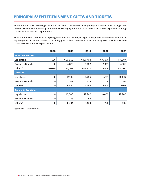## **PRINCIPALS' ENTERTAINMENT, GIFTS AND TICKETS**

Records in the Clerk of the Legislature's office allow us to see how much principals spend on both the legislative and the executive branches of government. The category identified as "others" is not clearly explained, although a considerable amount is spent there.

*Entertainment* is a catchall for everything from food and beverages to golf outings and social events. *Gifts* can be anything from Christmas presents to birthday gifts. *Tickets to events* is self-explanatory. Most-visible are tickets to University of Nebraska sports events.

|                               | 2000   | 2010     | 2019      | 2020     | 2021         |
|-------------------------------|--------|----------|-----------|----------|--------------|
| <b>Entertainment For</b>      |        |          |           |          |              |
| Legislators                   | \$75   | \$90,363 | \$120,168 | \$74,576 | \$70,741     |
| <b>Executive Branch</b>       | 0      | 4,873    | 5,902     | 2,067    | 4,108        |
| Others?                       | 70,098 | 186,509  | 208,906   | 213,444  | 145,705      |
| <b>Gifts For</b>              |        |          |           |          |              |
| Legislators                   | O      | 12,769   | 7,735     | 3,757    | 20,967       |
| <b>Executive Branch</b>       | O      | 702      | 334       | 74       | 498          |
| Others?                       | O      | 6,442    | 2,989     | 2,546    | 2,915        |
| <b>Tickets to Events for:</b> |        |          |           |          |              |
| Legislators                   | 0      | 13,840   | 19,246    | 3,450    | 19,280       |
| <b>Executive Branch</b>       | 0      | 88       | 48        | 0        | $\mathsf{o}$ |
| Others?                       | 0      | 2,494    | 1,109     | 783      | 463          |

*Recorded from NADC02/09/22*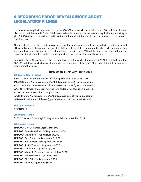## **A RECORDING ERROR REVEALS MORE ABOUT LEGISLATORS' FILINGS**

It is unusual to see gifts to legislators as high as \$20,967, as shown in the previous chart. We looked further and discovered that Renewable Fuels of Nebraska had made numerous errors in reporting, including reporting as gifts \$9,993 (all of the items listed in the 3rd and 4th quarters) that should have been reported as campaign contributions.

Although filed in error, this report shows exactly what the public should be able to see in all gift reports; a snapshot of how and where lobbying funds are spent: Individual gifts identified complete with a date, price and where they were purchased. Meals identified by restaurant and the price paid. Without the filing error, none of the detail about specific gifts would have been public knowledge. We believe it should always be.

Renewable Fuels Nebraska is a relatively small player in the world of lobbying. In 2021 it reported spending \$33,135 on lobbying, which ranks it somewhere in the middle of the pack. Many school districts spend more than Renewable Fuels.

#### **Renewable Fuels Gift Filing 2021**

#### **1st Quarter Item 3 (Gifts)**

1/1/21 Carol Bates reimbursed for gifts for legislative reception: \$147.50 1/19/21 Bromm, Nielsen & Mines: \$1,916.66 *(should be lobbyist compensation)* 2/1/21/ Bromm, Nielsen & Mines: \$1,916,66 *(should be lobbyist compensation)* 2/17/21 Troy Breadenkamp reimbursed for gifts for legis. Reception: \$595.70 2/28/21 Pan Miller-Lunches at Billy's: \$142.53 3/1/21 Bromm, Nielsen & Mines: \$1,916.66 *(should be lobbyist compensation)* Delivered in February: Gift boxes (1 per Senator) at \$15.17 ea.: total \$743.33

#### **2nd Quarter Item 3**

No gifts filed.

#### **3rd Quarter Item 3**

\$250.00 to John Cavanaugh for Legislature. Paid in September, 2021

#### **4th Quarter Item 3**

11/1/2021 Eliot Bostar for Legislature \$500 11/1/2021 Bruce Bostelman for Legislature \$1,000 11/1/2021 Mike Flood for Legislature \$1,000 11/1/2021 Curt Friesen for Legislature \$1,000 11/1/2021 Joni Albrecht for Legislature \$1,000 11/1/2021 Justin Wayne for Legislature \$500 11/1/2021 Linehan for Legislature \$1,000 11/1/2021 Michaela Cavanaugh for Legislature \$250 11/1/2021 Mike Moser for Legislature \$500 11/1/2021 Rich Pahls for Legislature \$500 11/1/2021 Geist for Legislature \$500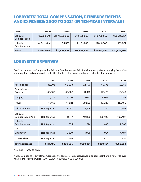## **LOBBYISTS' TOTAL COMPENSATION, REIMBURSEMENTS AND EXPENSES: 2000 TO 2021 (IN TEN-YEAR INTERVALS)**

| <b>Items</b>              | 2000         | 2010            | 2019         | 2020         | 2021         |
|---------------------------|--------------|-----------------|--------------|--------------|--------------|
| Lobbyist<br>Compensation  | \$2,653,548  | \$11,713,360.00 | \$19,455,838 | \$18,788,087 | \$20,789,181 |
| Lobbyist<br>Reimbursement | Not Reported | 175,528         | 211,016.00   | 173,167.00   | 139,527      |
| <b>TOTAL</b>              | \$2,653,548  | \$11,888,888    | \$19,666,854 | \$18,961,255 | \$20,928,708 |

## **LOBBYISTS' EXPENSES**

Don't be confused by Compensation Paid and Reimbursement Paid. Individual lobbyists and lobbying firms often work together and compensate each other for their efforts and reimburse each other for expenses.

|                                      | 2000                | 2010      | 2019      | 2020      | 2021      |
|--------------------------------------|---------------------|-----------|-----------|-----------|-----------|
| <b>Miscellaneous</b>                 | 35,305              | 66,328    | 72,440    | 59,175    | 52,845    |
| Entertainment<br>Expense             | 58,305              | 153,357   | 151,670   | 116,176   | 110,046   |
| Lodging                              | 4,028               | 15,710    | 13,683    | 5,520.    | 4,604     |
| Travel                               | 16,165              | 44,521    | 39,209    | 18,023    | 118,464   |
| <b>Office Expense</b>                | <b>Not Reported</b> | 18,787.   | 9,314     | 2,224     | 2,401     |
| Lobbyist<br><b>Compensation Paid</b> | Not Reported        | 2,417     | 40,863    | 166,495   | 160,407   |
| Lobbyist<br>Reimbursement.           | Not Reported        | 675       | 744       | 483       | 2,537     |
| Paid                                 |                     |           |           |           |           |
| <b>Gifts Given</b>                   | <b>Not Reported</b> | 4,320     | 1,995     | 1,001     | 1,487     |
| <b>Tickets Given</b>                 | Not Reported        | 466       | 0         | 1.20      | 500       |
| <b>TOTAL Expenses</b>                | \$114,498           | \$306,584 | \$329,921 | \$369,101 | \$353,293 |

*Recorded from NADC 02/09/22*

NOTE: Comparing lobbyists' compensation to lobbyists' expenses, it would appear that there is very little overhead in the lobbying world (\$20,787,181 - \$353,293 = \$20,435,888)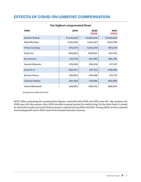### **EFFECTS OF COVID ON LOBBYIST COMPENSATION**

| <b>FIRM</b>      | 2019        | 2020<br><b>COVID</b> | 2021<br><b>COVID</b> |
|------------------|-------------|----------------------|----------------------|
| Mueller/Robak.   | \$1,432,282 | \$1,363,349          | \$1,645,683          |
| Radcliffe/Asso   | 1,434,238   | 1,304,547            | 1,340,799            |
| O'Hara/Lindsay   | 974,070     | 1,040,459            | 903,276              |
| Peetz/Co         | 806,650     | 836,600              | 827,100              |
| Am.Comms.        | 640,116     | 641,350              | 694,794              |
| Nowka/Edwards    | 576,385     | 556,316              | 617,107              |
| Kissel/E+S       | 548,310.    | 551,723              | 656,998              |
| Bromm/Assoc.     | 630,621     | 616,496              | 571,710              |
| Zulkoski/Weber.  | 681,828     | 736,586              | 882,995              |
| Husch/Blackwell. | 458,597     | 538,700              | 828,500              |

#### **Ten highest compensated firms**

 *Recoded from NADC 02/13/22*

NOTE: When evaluating the compensation figures, remember that 2019 and 2021 were 90- day sessions and 2020 was a 60-day session. Also, 2021 included a special session for redistricting. On the other hand, it should be noted that masks and social distancing were required during 2020 and 2021. During 2020, six firms showed continued growth and in 2021 seven firms showed dramatic recovery.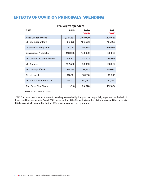### **EFFECTS OF COVID ON PRINCIPALS' SPENDING**

|                               | ren impercipenders |                      |                      |
|-------------------------------|--------------------|----------------------|----------------------|
| <b>FIRM</b>                   | 2019               | 2020<br><b>COVID</b> | 2021<br><b>COVID</b> |
| <b>Altria Client Services</b> | \$267,287          | \$143,930            | \$128,656            |
| NE. Chamber of Com.           | 96,979             | 103,566              | 124,297              |
| League of Municipalities      | 160,761            | 109,434              | 155,064              |
| University of Nebraska        | 143,058            | 143,689              | 180,065              |
| NE. Council of School Admin.  | 166,243            | 131,122              | 151944               |
| NE. Bankers                   | 132,582            | 98,359               | 100,964              |
| <b>NE. County Official</b>    | 164,728            | 128,152              | 135,067              |
| City of Lincoln               | 117,601            | 90,200               | 90,200               |
| NE. State Education Assoc.    | 107,302            | 121,457              | 90,900               |
| <b>Blue Cross Blue Shield</b> | 111,316            | 94,070               | 102,684              |

### **Ten largest spenders**

 *Recorded from NADC 02/13/22*

NOTE: The reduction in entertainment spending by nearly all principals can be partially explained by the lack of dinners and banquets due to Covid. With the exception of the Nebraska Chamber of Commerce and the University of Nebraska, Covid seemed to be the difference-maker for the top spenders.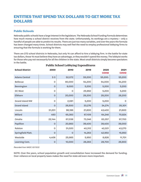## **ENTITIES THAT SPEND TAX DOLLARS TO GET MORE TAX DOLLARS**

#### **Public Schools**

Nebraska public schools have a large interest in the legislature. The Nebraska School Funding Formula determines how much money a school district receives from the state. Unfortunately, its workings are a mystery – only a handful of people are able to predict its results. There are just too many variables, and over the years the formula has been changed many times. School districts may well feel the need to employ professional lobbying firms to ensuring that the formula is working for them.

There are 272 school districts in Nebraska, but only 14 can afford to hire a lobbying firm. In the battle for state tax dollars, those 14 must believe they have an advantage, or they wouldn't spend the money. The lobbyist works for those who pay not necessarily for all the children in the state. Most small districts simply become spectators in the battle.

| <b>School District</b> | 2000         | 2010        | 2019    | 2020<br><b>COVID</b> | 2021<br><b>COVID</b> |
|------------------------|--------------|-------------|---------|----------------------|----------------------|
| <b>Adams Central</b>   | \$0          | \$2,072     | \$5,200 | \$5,200.             | \$5,200              |
| <b>Bellevue</b>        | O            | 80,000      | 54,200  | 54,000               | 54,200               |
| Bennington             | $\mathbf 0$  | 9,000       | 5,200   | 5,200                | 5,200                |
| DC West                | $\mathsf O$  | 0           | 25,992  | 5,200                | 5,200                |
| Elkhorn                | $\mathsf O$  | 20,000      | 28,200  | 28,200               | 28,200               |
| <b>Grand Island NW</b> | 0            | 2,081       | 5,200   | 5,200                | O                    |
| <b>Grand Island</b>    | $\mathbf 0$  | 26,500      | 33,276  | 34,274               | 35,301               |
| Lincoln                | 31,201       | 96,186      | 21,600  | 43,400               | 21,600               |
| Millard                | 493          | 65,383      | 67,109  | 64,246               | 70,824               |
| Omaha                  | 22,144       | 67,038      | 73,346  | 83,357               | 97,700               |
| Papillion              | $\Omega$     | 20,983      | 39,400  | 39,400               | 39,000               |
| Ralston                | O            | 31,020      | 40,312  | 42,021               | 43,270               |
| Springfield Platt.     | $\mathbf 0$  | $\mathbf 0$ | 14,263  | 42,950               | 15,950               |
| Westside               | 4,406        | 25,985      | 5,950   | 8,826                | 11,701               |
| Learning Com.          | $\mathsf{O}$ | 10,000      | 28,283  | 28,700               | 26,900               |

### **Public School Lobbying Expenditures**

*Recorded from NADC 02/15/22*

NOTE: Over the years, school population growth and consolidation have increased the demand for funding. Over-reliance on local property taxes makes the need for state aid even more important.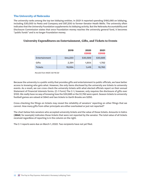### **The University of Nebraska**

The university ranks among the top ten lobbying entities. In 2021 it reported spending \$180,065 on lobbying, including \$30,000 to Peetz and Company and \$97,200 to former-Senator Heath Mello. The university often indicates that the University Foundation supplements its lobbying activity. But the Nebraska Accountability and Disclosure Commission states that once Foundation money reaches the university general fund, it becomes "public funds" and is no longer Foundation money.

|                | 2019     | 2020<br><b>COVID</b> | 2021<br><b>COVID</b> |
|----------------|----------|----------------------|----------------------|
| Entertainment  | \$44,220 | \$30,589             | \$30,685             |
| Gifts          | 2,391    | 1,804                | 1,782                |
| <b>Tickets</b> | 19,994   | 1,416                | 19,760               |

#### **University Expenditures on Entertainment, Gifts, and Tickets to Events**

 *Recode from NADC 02/16/22*

Because the university is a public entity that provides gifts and entertainment to public officials, we have better access to knowing who gets what. However, the only items disclosed by the university are tickets to university events. As a result, we can cross check the university tickets with what elected officials report on their annual Statement of Financial Interests forms. (C-1 Form) The C-1, however, only requires the disclosure of gifts over \$100. We really have no way of knowing how the \$30,685 or the \$1,782 were spent. Season tickets to university football games are valued at \$840 and two tickets to Garth Brooks are \$250.

Cross-checking the filings on tickets may reveal the reliability of senators' reporting on other filings that we cannot. How many gifts from other principals are either overlooked or just not reported?

The chart below lists senators who accepted university tickets and the value of those tickets. Amounts in italics (*\$840*, for example) indicates those tickets that were not reported by the senator. The total value of all tickets received regardless of reporting is in the column on the right.

The C-1 reports were due on March 1, 2022. Two recipients have not yet filed.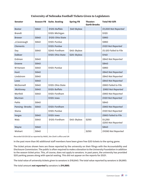| <b>Senator</b>  | <b>Season FB</b> | <b>Suite. Seating</b> | <b>Spring FB</b> | Theater:<br><b>Garth Brooks</b> | <b>Total NU Gift</b>          |
|-----------------|------------------|-----------------------|------------------|---------------------------------|-------------------------------|
| <b>Bostar</b>   | \$840            | \$120: Buffalo        | \$40 Skybox      |                                 | \$1,000 Not Reported          |
| <b>Brandt</b>   |                  | \$120: Michigan       |                  |                                 | \$120                         |
| <b>Brewer</b>   | \$840            | \$120: Ohio State     |                  |                                 | \$960                         |
| J.Cavanaugh     | \$840            | \$120: Purdue         |                  |                                 | \$960                         |
| <b>Clements</b> |                  | \$120: Purdue         |                  |                                 | \$120 Not Reported            |
| Day             | \$840            | \$240: Fordham        | \$40: Skybox     |                                 | \$1,120 Failed to File        |
| <b>DaBoer</b>   |                  | \$120: Ohio State     | \$20: Skybox     |                                 | \$140                         |
| Erdman          | \$840            |                       |                  |                                 | \$840 Not Reported            |
| Groene          | \$840            |                       |                  |                                 | \$840                         |
| M Hansen        | \$840            | \$120: Purdue         |                  |                                 | \$960                         |
| Hunt            | \$840            |                       |                  |                                 | \$840 Not Reported            |
| Lindstrom       | \$840            |                       |                  |                                 | \$840 Not Reported            |
| Lowe            | \$840            |                       |                  |                                 | \$840 Not Reported            |
| McDonnell       | \$840            | \$120: Ohio State     |                  |                                 | \$960 Failed to File          |
| <b>McKinney</b> | \$840            | \$120: Buffalo        |                  |                                 | \$960 Not Reported            |
| Morfeld         | \$840            | \$120: Fordham        |                  |                                 | \$960 Not Reported            |
| Murman          |                  | \$120: Iowa           |                  |                                 | \$120 Not Reported            |
| Pahls           | \$840            |                       |                  |                                 | \$840                         |
| Pansing-Brooks  | \$840            | \$120: Fordham        |                  |                                 | \$960 Not Reported            |
| Slama           |                  | \$120: Purdue         |                  |                                 | \$120 Not Reported            |
| Vargas          | \$840            | \$120: Iowa           |                  |                                 | \$960 Failed to File          |
| Walz            | \$840            | \$120: Fordham        | \$40: Skybox     | \$250                           | \$1,250<br>\$250 Not Reported |
| Wayne           | \$840            |                       |                  |                                 | \$840                         |
| Wishart         | \$840            |                       |                  | \$250                           | \$1090 Not Reported           |

### **University of Nebraska Football Tickets Given to Legislators**

*Recorded 03/20/22 as reported by NADC, the Clerk's office and UN*

In the past more than 90 additional staff members have been given free \$20 tickets to the spring game.

The ticket prices shown here are those reported by the university on their filings with the Accountability and Disclosure Commission. The public is often required to make a donation to the University Foundation in addition to the season ticket price. This, of course, does not apply to senators. In past years, the university has provided \$20 parking passes along with special seating. This did not appear on the reports for 2021.

The total value of university tickets given to senators is \$18,640. The total value reported by senators is \$6,660.

The total amount *not reported* by senators is *\$11,980.*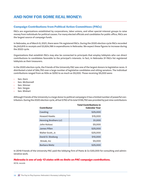## **AND NOW FOR SOME REAL MONEY:**

### **Campaign Contributions from Political Action Committees (PACs)**

PACs are organizations established by corporations, labor unions, and other special-interest groups to raise money from individuals for political causes. For many elected officials and candidates for public office, PACs are the largest source of campaign funds.

In Nebraska, as of March 9, 2021, there were 114 registered PACs. During the 2020 election cycle PACs recorded \$4,243,615 in receipts and \$3,824,196 in expenditures in Nebraska. We expect these figures to increase during the 2022 cycle.

Organizations that establish PACs may also be connected to principals that employ lobbyists who can direct contributions to candidates favorable to the principal's interests. In fact, in Nebraska 31 PACs list registered lobbyists as their treasurers.

In the 2020 election cycle, the Friends of the University PAC was one of the largest donors to legislative races. It distributed a total of \$84,750 over a large number of legislative candidates and sitting senators. The individual contributions ranged from as little as \$250 to as much as \$5,000. Those receiving \$5,000 were:

- Sen. Dorn
- Sen. McDonnell
- Sen. Stinner
- Sen. Vargas
- Sen. Wishart

Although Friends of the University is a large donor to political campaigns it has a limited number of powerful contributors. During the 2020 election cycle, all but \$750 of its total \$136,750 was provided by just nine contributors:

| <b>Contributor</b>          | <b>Total Contributions in</b><br><b>Calendar Year</b> |
|-----------------------------|-------------------------------------------------------|
|                             |                                                       |
| Cassling                    | \$25,000                                              |
| <b>Howard Hawks</b>         | \$15,000                                              |
| <b>Henning Brothers LLC</b> | \$1,000                                               |
| John Kotouc                 | \$5,000                                               |
| James Pillen                | \$25,000                                              |
| Walter Scott, Jr.           | \$25,000                                              |
| David D. Slosburg           | \$10,000                                              |
| Streak, Inc                 | \$5,000                                               |
| Barbara Weitz               | \$25,000                                              |

In 2019 Friends of the University PAC paid the lobbying firm of Peetz & Co \$30,000 for consulting and administrative work.

#### *Nebraska is one of only 13 states with no limits on PAC campaign contributions.*

*NCSL records*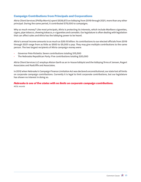### **Campaign Contributions from Principals and Corporations**

Altria Client Services (Phillip Morris) spent \$539,873 on lobbying from 2019 through 2021, more than any other principal. During the same period, it contributed \$75,000 to campaigns.

Why so much money? Like most principals, Altria is protecting its interests, which include Marlboro cigarettes, cigars, pipe tobacco, chewing tobacco, e-cigarettes and cannabis. Our legislature is often dealing with legislation that can affect sales and Altria has the lobbying power to be heard.

Altria's annual income amounts to as much as \$26.15 billion. Its contributions to our elected officials from 2019 through 2021 range from as little as \$500 to \$5,000 a pop. They may give multiple contributions to the same person. The two largest recipients of Altria campaign money were:

- Governor Pete Ricketts: Seven contributions totaling \$15,500
- The Nebraska Republican Party: Five contributions totaling \$20,000

Altria Client Services LLC employs Alston Garth as an in-house lobbyist and the lobbying firms of Jensen, Rogert Associates and Radcliffe and Associates.

In 2012 when Nebraska's Campaign Finance Limitation Act was declared unconstitutional, our state lost all limits on corporate campaign contributions. Currently it is legal to limit corporate contributions, but our legislature has shown no interest in doing so.

*Nebraska is one of five states with no limits on corporate campaign contributions. NCSL records*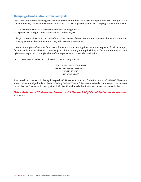### **Campaign Contributions from Lobbyists**

Peetz and Company is a lobbying firm that makes contributions to political campaigns. From 2019 through 2021 it contributed \$34,029 to Nebraska state campaigns. The two largest recipients of its campaign contributions were:

- Governor Pete Ricketts: Three contributions totaling \$2,000
- Speaker Mike Hilgers: Five contributions totaling \$2,500

Lobbyists often make candidates and office holders aware of their clients' campaign contributions. Connecting the lobbyist to the client contribution may help to open some doors.

Groups of lobbyists often host fundraisers for a candidate, pooling their resources to pay for food, beverages, facilities and catering. The costs are usually distributed equally among the lobbying firms. Candidates and lobbyists must report each lobbyist share of the expense as an "In-Kind Contribution."

In 2021 Peetz recorded seven such events. One was very specific:

"FOOD AND SPACE FOR EVENT, IN-KIND SPONSORS FOR EVENT, 12 HOSTS AT 45.72, 1 HOST AT 91.44"

Translated, this means 12 lobbying firms paid \$45.72 each and one paid \$91.44 for a total of \$640.08. The event was to raise campaign funds for Senator Wendy DeBoer. We don't know who attended or how much money was raised. We don't know which lobbyist paid \$91.44. All we know is that Peetz was one of the twelve lobbyists.

*Nebraska is one of 32 states that have no restrictions on lobbyist contributions or fundraisers. NCSL Records*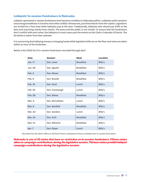### **Lobbyists' In-session Fundraisers in Nebraska**

Lobbyist-sponsored in-session fundraisers have become a tradition in Nebraska politics. Lobbyists solicit senators and arrange breakfasts or lunches most often at Billy's Restaurant, just three blocks from the capitol. Legislators are invited for a free meal while lobbyists pay at the door. Traditionally, lobbyists who attend pay \$100 at the door and may bring checks from clients. The press and the public is not invited. To ensure that the fundraisers don't conflict with each other, the lobbyists in most cases post the events on the Clerk's Calendar of Events. The list below is taken from that calendar.

It is concerning that lobbying money is changing hands while legislative bills are on the floor and votes are taken within an hour of the fundraiser.

| <b>Date</b>    | <b>Senator</b>   | <b>Meal</b>      | <b>Location</b> |
|----------------|------------------|------------------|-----------------|
| <b>Jan. 11</b> | Sen, Lowe        | <b>Breakfast</b> | Billy's         |
| Jan. 28        | Sen. Aguilar     | <b>Breakfast</b> | Billy's         |
| Feb. 2         | Sen. Moser       | <b>Breakfast</b> | Billy's         |
| Feb. 9         | Sen. Brandt      | <b>Breakfast</b> | Billy's         |
| Feb. 16        | Sen. Hunt        | Lunch            | Billy's         |
| Feb. 22        | Sen. Cavanaugh   | Lunch            | Billy's         |
| Feb. 28        | Sen. Slama       | <b>Breakfast</b> | Billy's         |
| Mar. 3.        | Sen. McCollister | Lunch            | Billy's         |
| Mar. 8         | Sen. Morfeld     | <b>Breakfast</b> | Billy's         |
| Mar. 23        | Sen. Sanders     | Lunch            | Billy's         |
| <b>Mar. 24</b> | Sen. Arch        | <b>Breakfast</b> | Billy's         |
| Mar. 31        | Sen. Albrecht    | <b>Breakfast</b> | Billy's         |
| Apr. 7         | Sen. Riepe       | Lunch            | Billy's         |

Below is the 2022 list of in-session fundraisers recorded through April

*Recorded from the Clerk's Office on 03/15/22 There is still plenty of time to schedule more in-session fund raisers.*

*Nebraska is one of 22 states that have no restriction on in-session fundraisers. Fifteen states allow no campaign contributions during the legislative session. Thirteen states prohibit lobbyist campaign contributions during the legislative session.*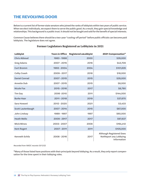## **THE REVOLVING DOOR**

Below is a current list of former state senators who joined the ranks of lobbyists within two years of public service. When we elect individuals, we expect them to serve the public good. As a result, they gain special knowledge and relationships. This background is a public trust. It should not be bought and sold for the benefit of special interests.

Common Cause believes there should be a two-year "cooling-off period" before public officials can become paid lobbyists. The legislature does not agree.

| Lobbyist             | <b>Years in Office</b> | <b>Registered asLobbyist</b> | 2021 Compensation*                                                |
|----------------------|------------------------|------------------------------|-------------------------------------------------------------------|
| <b>Chris Abboud</b>  | 1983 - 1998            | 2000                         | \$35,000                                                          |
| <b>Greg Adams</b>    | 2007 - 2015            | 2016                         | \$43,709                                                          |
| <b>Curt Bromm</b>    | 1993 - 2004            | 2004                         | \$101,635                                                         |
| <b>Colby Coash</b>   | 2009 - 2017            | 2018                         | \$18,000                                                          |
| <b>Daniel Conrad</b> | 2007 - 2015            | 2015                         | \$35,000                                                          |
| Annette Dub          | 2007 - 2015            | 2015                         | \$8,000                                                           |
| <b>Nicole Fox</b>    | 2015 - 2016            | 2017                         | \$8,790                                                           |
| Tim Gay              | 2006-2010              | 2011                         | \$144,000                                                         |
| <b>Burke Haar</b>    | 2011 - 2018            | 2019                         | \$37,670                                                          |
| Sara Howard          | 2012 - 2020            | 2021                         | \$3,433                                                           |
| Scott Lautenbaugh    | 2007 - 2014            | 2015                         | \$87,000                                                          |
| John Lindsay         | 1989 - 1997            | 1997                         | \$60,000                                                          |
| <b>Heath Mello</b>   | 2009 - 2917            | 2017                         | \$97,637                                                          |
| <b>Mick Mines</b>    | 2003 - 2007            | 2008                         | \$164,412                                                         |
| <b>Kent Rogert</b>   | 2007 - 2011            | 2011                         | \$105,000                                                         |
| Kenneth Schilz       | 2008 - 2016            | 2017                         | Although Registered Does<br>NotReport any Lobbying<br>Information |

### **Former Legislators Registered as Lobbyists in 2021**

*Recorded from NADC records 03/12/22*

\*Many of those listed have positions with their principals beyond lobbying. As a result, they only report compensation for the time spent in their lobbying roles.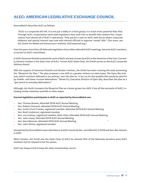#### SourceWatch describes ALEC as follows:

"ALEC is a corporate bill mill. It is not just a lobby or a front group; it is much more powerful than that. Through ALEC, corporations hand state legislators their wish lists to benefit their bottom line. Corporations fund almost all of ALEC's operations. They pay for a seat on ALEC task forces where corporate lobbyists and special interest reps vote with elected officials to approve 'model' bills." (For more, see the Center for Media and Democracy's website, ALECexposed.org.)

Over the years more than 25 Nebraska legislators have either attended ALEC meetings, become ALEC members, or served on ALEC committees.

In 2021 Governor Ricketts praised the work of ALEC and was chosen by ALEC as the Governor of the Year. Currently, Senator Linehan is the state chair of ALEC. Former ALEC State Chair Jim Smith serves on the ALEC Corporate Advisory Board.

With the support of Governor Ricketts and Senator Linehan, Jim Smith has been crossing the state promoting the "Blueprint Tax Plan." The plan proposes a tax shift to a greater reliance on sales taxes. The Open Sky Institute, which monitors Nebraska's tax policies, sees the plan as "a tax cut for the wealthy that would be paid for by middle- and lower-income Nebraskans." Renee Fry, Executive Director of Open Sky, describes the plan as a "gut punch to everyday Nebraskans."

Although Jim Smith trumpets the Blueprint Plan as a home-grown tax shift, it has all the earmarks of ALEC, including similar initiatives and bills in other states.

#### **Current legislative participants in ALEC as reported by SourceWatch are:**

- Sen. Thomas Brewer, Attended 2019 ALEC Annual Meeting
- Sen. Robert Clements, Attended 2019 ALEC Annual Meeting
- Sen. Curtis (Curt) Friesen, registered member. Attended 2019 ALEC Annual Meeting
- Sen. Brett Lindstrom, registered member
- Sen. Lou Linehan, registered member, State Chair, Attended 2019 ALEC Annual Meeting
- Sen. John Lowe), Attended 2019 ALEC Annual Meeting
- Sen. Dave Murman, Attended 2019 ALEC Annual Meeting
- Sen. John Stinne, registered member

Unreported by SourceWatch were attendance at ALEC events by Sen. Joni Albrecht in 2018 and Sen. Ben Hansen in 2021.

When Senator Jim Smith was the State Chair of ALEC he claimed 50% of the Nebraska Senators were ALEC members but he refused to list the names.

ALEC has always tried to keep the state memberships secret.

,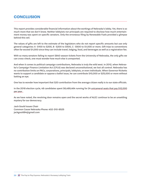## **CONCLUSION**

This report provides considerable financial information about the workings of Nebraska's lobby. Yet, there is so much more that we don't know. Neither lobbyists nor principals are required to disclose how much entertainment money was spent on specific senators. Only the erroneous filing by Renewable Fuels provided a glimpse behind this veil.

The values of gifts are left to the estimate of the legislators who do not report specific amounts but use only general categories: A -\$100 to \$200, B -\$200 to \$500, C -\$500 to \$1,000 or more. Gift trips to conventions often far exceed \$1,000 since they can include travel, lodging, food, and beverages as well as a registration fee.

With so many senators failing to report \$840 season tickets from the University of Nebraska, the only gifts we can cross-check, one must wonder how much else is unreported.

And when it comes to political campaign contributions, Nebraska is truly the wild west. In 2012, when Nebraska's Campaign Finance Limitation Act (CFLA) was declared unconstitutional, we lost all control. Nebraska has no contribution limits on PACs, corporations, principals, lobbyists, or even individuals. When Governor Ricketts wants to support a candidate or oppose a ballot issue, he can contribute \$10,000 or \$25,000 or more without batting an eye.

One has to wonder how important that \$20 contribution from the average citizen really is to our state officials.

In the 2018 election cycle, 48 candidates spent \$6,489,464 running for 24 unicameral seats that pay \$12,000 per year .

As we have noted, the revolving door remains open and the secret works of ALEC continue to be an unsettling mystery for our democracy.

Jack Gould Issues Chair Common Cause Nebraska Phone: 402-310-8525 [jackgould84@gmail.com](mailto:jackgould84@gmail.com)